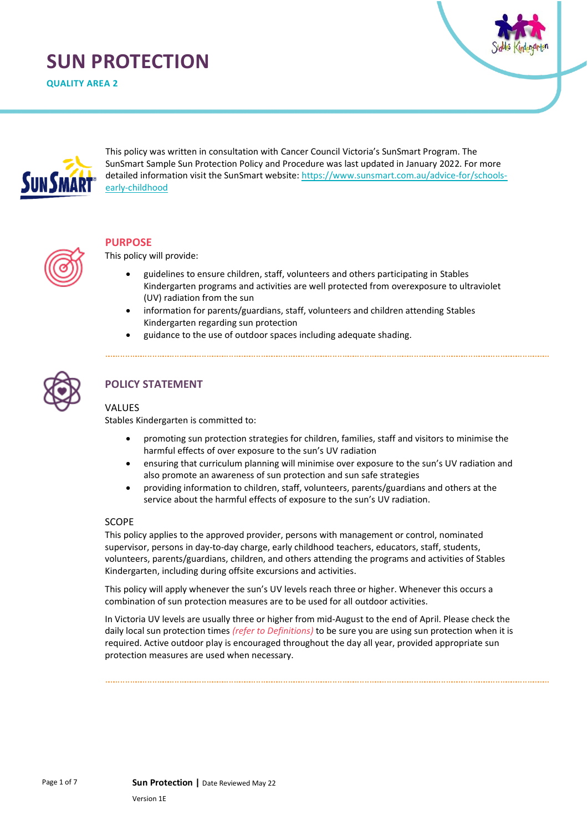# **SUN PROTECTION**

**QUALITY AREA 2**





This policy was written in consultation with Cancer Council Victoria's SunSmart Program. The SunSmart Sample Sun Protection Policy and Procedure was last updated in January 2022. For more detailed information visit the SunSmart website: [https://www.sunsmart.com.au/advice-for/schools](https://www.sunsmart.com.au/advice-for/schools-early-childhood)[early-childhood](https://www.sunsmart.com.au/advice-for/schools-early-childhood)



#### **PURPOSE**

This policy will provide:

- guidelines to ensure children, staff, volunteers and others participating in Stables Kindergarten programs and activities are well protected from overexposure to ultraviolet (UV) radiation from the sun
- information for parents/guardians, staff, volunteers and children attending Stables Kindergarten regarding sun protection
- guidance to the use of outdoor spaces including adequate shading.



# **POLICY STATEMENT**

#### VALUES

Stables Kindergarten is committed to:

- promoting sun protection strategies for children, families, staff and visitors to minimise the harmful effects of over exposure to the sun's UV radiation
- ensuring that curriculum planning will minimise over exposure to the sun's UV radiation and also promote an awareness of sun protection and sun safe strategies
- providing information to children, staff, volunteers, parents/guardians and others at the service about the harmful effects of exposure to the sun's UV radiation.

#### SCOPE

This policy applies to the approved provider, persons with management or control, nominated supervisor, persons in day-to-day charge, early childhood teachers, educators, staff, students, volunteers, parents/guardians, children, and others attending the programs and activities of Stables Kindergarten, including during offsite excursions and activities.

This policy will apply whenever the sun's UV levels reach three or higher. Whenever this occurs a combination of sun protection measures are to be used for all outdoor activities.

In Victoria UV levels are usually three or higher from mid-August to the end of April. Please check the daily local sun protection times *(refer to Definitions)* to be sure you are using sun protection when it is required. Active outdoor play is encouraged throughout the day all year, provided appropriate sun protection measures are used when necessary.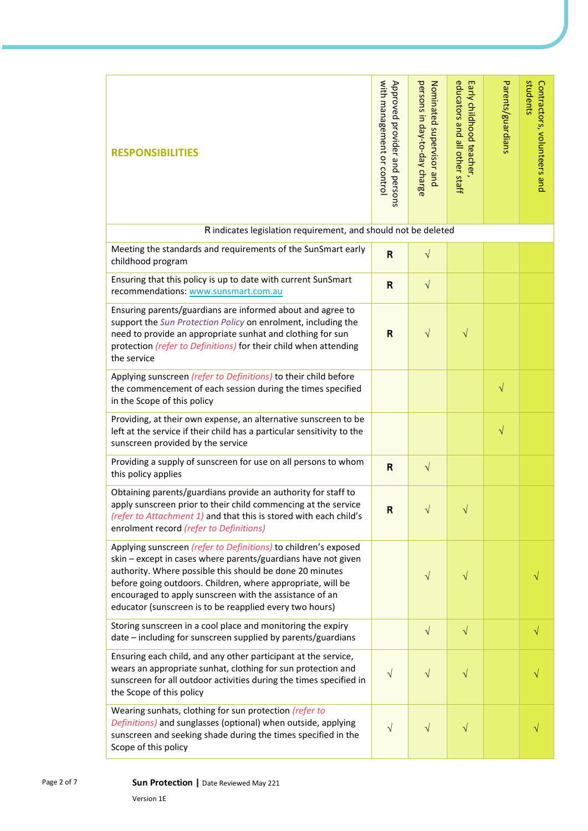| <b>RESPONSIBILITIES</b>                                                                                                                                                                                                                                                                                                                                                           | with management or control<br>Approved provider and persons | persons in day-to-day charge<br>Nominated supervisor and | educators and all other staff<br>Early childhood teacher, | Parents/guardians | students<br>Contractors, volunteers and |  |  |  |
|-----------------------------------------------------------------------------------------------------------------------------------------------------------------------------------------------------------------------------------------------------------------------------------------------------------------------------------------------------------------------------------|-------------------------------------------------------------|----------------------------------------------------------|-----------------------------------------------------------|-------------------|-----------------------------------------|--|--|--|
| R indicates legislation requirement, and should not be deleted                                                                                                                                                                                                                                                                                                                    |                                                             |                                                          |                                                           |                   |                                         |  |  |  |
| Meeting the standards and requirements of the SunSmart early<br>childhood program                                                                                                                                                                                                                                                                                                 | $\mathsf{R}$                                                | $\sqrt{}$                                                |                                                           |                   |                                         |  |  |  |
| Ensuring that this policy is up to date with current SunSmart<br>recommendations: www.sunsmart.com.au                                                                                                                                                                                                                                                                             | $\mathsf{R}$                                                | $\sqrt{}$                                                |                                                           |                   |                                         |  |  |  |
| Ensuring parents/guardians are informed about and agree to<br>support the Sun Protection Policy on enrolment, including the<br>need to provide an appropriate sunhat and clothing for sun<br>protection (refer to Definitions) for their child when attending<br>the service                                                                                                      | $\mathsf{R}$                                                | $\sqrt{}$                                                | V                                                         |                   |                                         |  |  |  |
| Applying sunscreen (refer to Definitions) to their child before<br>the commencement of each session during the times specified<br>in the Scope of this policy                                                                                                                                                                                                                     |                                                             |                                                          |                                                           | $\sqrt{}$         |                                         |  |  |  |
| Providing, at their own expense, an alternative sunscreen to be<br>left at the service if their child has a particular sensitivity to the<br>sunscreen provided by the service                                                                                                                                                                                                    |                                                             |                                                          |                                                           | $\sqrt{}$         |                                         |  |  |  |
| Providing a supply of sunscreen for use on all persons to whom<br>this policy applies                                                                                                                                                                                                                                                                                             | $\mathbf R$                                                 | $\sqrt{}$                                                |                                                           |                   |                                         |  |  |  |
| Obtaining parents/guardians provide an authority for staff to<br>apply sunscreen prior to their child commencing at the service<br><i>(refer to Attachment 1)</i> and that this is stored with each child's<br>enrolment record (refer to Definitions)                                                                                                                            | $\mathsf{R}$                                                | V                                                        | V                                                         |                   |                                         |  |  |  |
| Applying sunscreen (refer to Definitions) to children's exposed<br>skin - except in cases where parents/guardians have not given<br>authority. Where possible this should be done 20 minutes<br>before going outdoors. Children, where appropriate, will be<br>encouraged to apply sunscreen with the assistance of an<br>educator (sunscreen is to be reapplied every two hours) |                                                             | $\sqrt{}$                                                | $\sqrt{}$                                                 |                   |                                         |  |  |  |
| Storing sunscreen in a cool place and monitoring the expiry<br>date - including for sunscreen supplied by parents/guardians                                                                                                                                                                                                                                                       |                                                             | $\sqrt{}$                                                | $\sqrt{}$                                                 |                   | $\sqrt{}$                               |  |  |  |
| Ensuring each child, and any other participant at the service,<br>wears an appropriate sunhat, clothing for sun protection and<br>sunscreen for all outdoor activities during the times specified in<br>the Scope of this policy                                                                                                                                                  | $\sqrt{}$                                                   | $\sqrt{}$                                                | $\sqrt{}$                                                 |                   |                                         |  |  |  |
| Wearing sunhats, clothing for sun protection (refer to<br>Definitions) and sunglasses (optional) when outside, applying<br>sunscreen and seeking shade during the times specified in the<br>Scope of this policy                                                                                                                                                                  | $\sqrt{}$                                                   | $\sqrt{}$                                                | $\sqrt{}$                                                 |                   |                                         |  |  |  |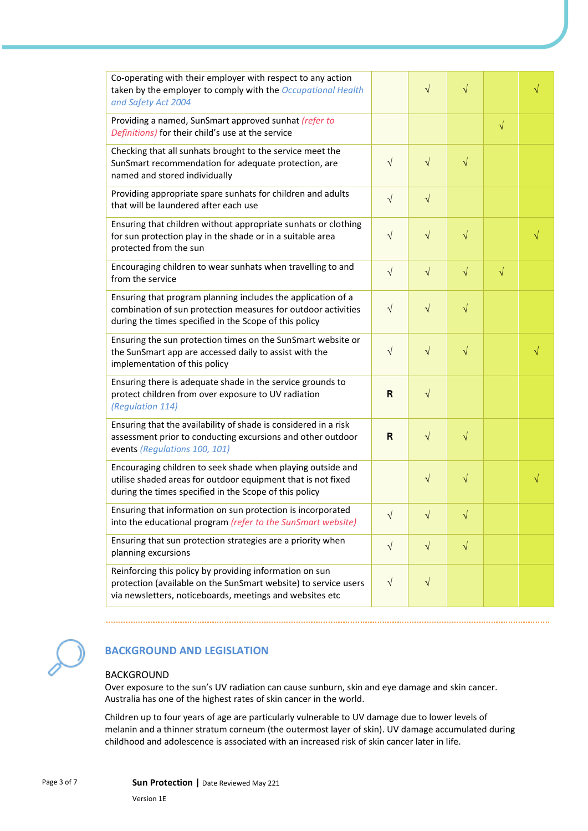| Co-operating with their employer with respect to any action<br>taken by the employer to comply with the Occupational Health<br>and Safety Act 2004                                      |              | $\sqrt{}$  | $\sqrt{}$ |           | V         |
|-----------------------------------------------------------------------------------------------------------------------------------------------------------------------------------------|--------------|------------|-----------|-----------|-----------|
| Providing a named, SunSmart approved sunhat (refer to<br>Definitions) for their child's use at the service                                                                              |              |            |           | $\sqrt{}$ |           |
| Checking that all sunhats brought to the service meet the<br>SunSmart recommendation for adequate protection, are<br>named and stored individually                                      | $\sqrt{}$    | $\sqrt{}$  | $\sqrt{}$ |           |           |
| Providing appropriate spare sunhats for children and adults<br>that will be laundered after each use                                                                                    | $\sqrt{ }$   | $\sqrt{}$  |           |           |           |
| Ensuring that children without appropriate sunhats or clothing<br>for sun protection play in the shade or in a suitable area<br>protected from the sun                                  | $\sqrt{ }$   | $\sqrt{}$  | $\sqrt{}$ |           | √         |
| Encouraging children to wear sunhats when travelling to and<br>from the service                                                                                                         | $\sqrt{ }$   | $\sqrt{ }$ | $\sqrt{}$ | $\sqrt{}$ |           |
| Ensuring that program planning includes the application of a<br>combination of sun protection measures for outdoor activities<br>during the times specified in the Scope of this policy | $\sqrt{}$    | $\sqrt{}$  | $\sqrt{}$ |           |           |
| Ensuring the sun protection times on the SunSmart website or<br>the SunSmart app are accessed daily to assist with the<br>implementation of this policy                                 | $\sqrt{}$    | $\sqrt{}$  | $\sqrt{}$ |           | $\sqrt{}$ |
| Ensuring there is adequate shade in the service grounds to<br>protect children from over exposure to UV radiation<br>(Regulation 114)                                                   | $\mathsf{R}$ | $\sqrt{}$  |           |           |           |
| Ensuring that the availability of shade is considered in a risk<br>assessment prior to conducting excursions and other outdoor<br>events (Regulations 100, 101)                         | $\mathsf{R}$ | $\sqrt{}$  | $\sqrt{}$ |           |           |
| Encouraging children to seek shade when playing outside and<br>utilise shaded areas for outdoor equipment that is not fixed<br>during the times specified in the Scope of this policy   |              | $\sqrt{}$  | $\sqrt{}$ |           | $\sqrt{}$ |
| Ensuring that information on sun protection is incorporated<br>into the educational program (refer to the SunSmart website)                                                             | $\sqrt{ }$   | V          | V         |           |           |
| Ensuring that sun protection strategies are a priority when<br>planning excursions                                                                                                      | $\sqrt{ }$   | $\sqrt{ }$ | $\sqrt{}$ |           |           |
| Reinforcing this policy by providing information on sun<br>protection (available on the SunSmart website) to service users<br>via newsletters, noticeboards, meetings and websites etc  | $\sqrt{ }$   | $\sqrt{}$  |           |           |           |



#### **BACKGROUND AND LEGISLATION**

#### BACKGROUND

Over exposure to the sun's UV radiation can cause sunburn, skin and eye damage and skin cancer. Australia has one of the highest rates of skin cancer in the world.

Children up to four years of age are particularly vulnerable to UV damage due to lower levels of melanin and a thinner stratum corneum (the outermost layer of skin). UV damage accumulated during childhood and adolescence is associated with an increased risk of skin cancer later in life.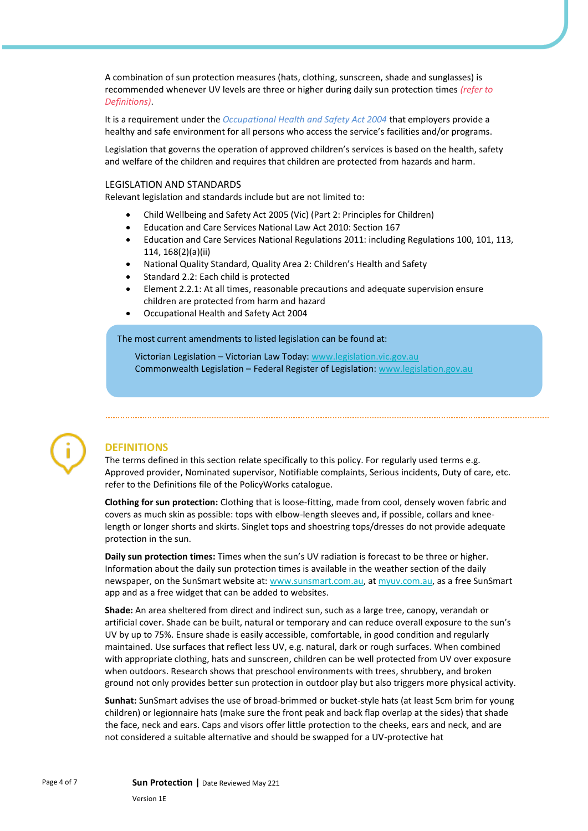A combination of sun protection measures (hats, clothing, sunscreen, shade and sunglasses) is recommended whenever UV levels are three or higher during daily sun protection times *(refer to Definitions)*.

It is a requirement under the *Occupational Health and Safety Act 2004* that employers provide a healthy and safe environment for all persons who access the service's facilities and/or programs.

Legislation that governs the operation of approved children's services is based on the health, safety and welfare of the children and requires that children are protected from hazards and harm.

#### LEGISLATION AND STANDARDS

Relevant legislation and standards include but are not limited to:

- Child Wellbeing and Safety Act 2005 (Vic) (Part 2: Principles for Children)
- Education and Care Services National Law Act 2010: Section 167
- Education and Care Services National Regulations 2011: including Regulations 100, 101, 113, 114, 168(2)(a)(ii)
- National Quality Standard, Quality Area 2: Children's Health and Safety
- Standard 2.2: Each child is protected
- Element 2.2.1: At all times, reasonable precautions and adequate supervision ensure children are protected from harm and hazard
- Occupational Health and Safety Act 2004

The most current amendments to listed legislation can be found at:

Victorian Legislation – Victorian Law Today[: www.legislation.vic.gov.au](http://www.legislation.vic.gov.au/) Commonwealth Legislation – Federal Register of Legislation[: www.legislation.gov.au](http://www.legislation.gov.au/)



#### **DEFINITIONS**

The terms defined in this section relate specifically to this policy. For regularly used terms e.g. Approved provider, Nominated supervisor, Notifiable complaints, Serious incidents, Duty of care, etc. refer to the Definitions file of the PolicyWorks catalogue.

**Clothing for sun protection:** Clothing that is loose-fitting, made from cool, densely woven fabric and covers as much skin as possible: tops with elbow-length sleeves and, if possible, collars and kneelength or longer shorts and skirts. Singlet tops and shoestring tops/dresses do not provide adequate protection in the sun.

**Daily sun protection times:** Times when the sun's UV radiation is forecast to be three or higher. Information about the daily sun protection times is available in the weather section of the daily newspaper, on the SunSmart website at: [www.sunsmart.com.au,](http://www.sunsmart.com.au/) at [myuv.com.au,](https://www.myuv.com.au/) as a free SunSmart app and as a free widget that can be added to websites.

**Shade:** An area sheltered from direct and indirect sun, such as a large tree, canopy, verandah or artificial cover. Shade can be built, natural or temporary and can reduce overall exposure to the sun's UV by up to 75%. Ensure shade is easily accessible, comfortable, in good condition and regularly maintained. Use surfaces that reflect less UV, e.g. natural, dark or rough surfaces. When combined with appropriate clothing, hats and sunscreen, children can be well protected from UV over exposure when outdoors. Research shows that preschool environments with trees, shrubbery, and broken ground not only provides better sun protection in outdoor play but also triggers more physical activity.

**Sunhat:** SunSmart advises the use of broad-brimmed or bucket-style hats (at least 5cm brim for young children) or legionnaire hats (make sure the front peak and back flap overlap at the sides) that shade the face, neck and ears. Caps and visors offer little protection to the cheeks, ears and neck, and are not considered a suitable alternative and should be swapped for a UV-protective hat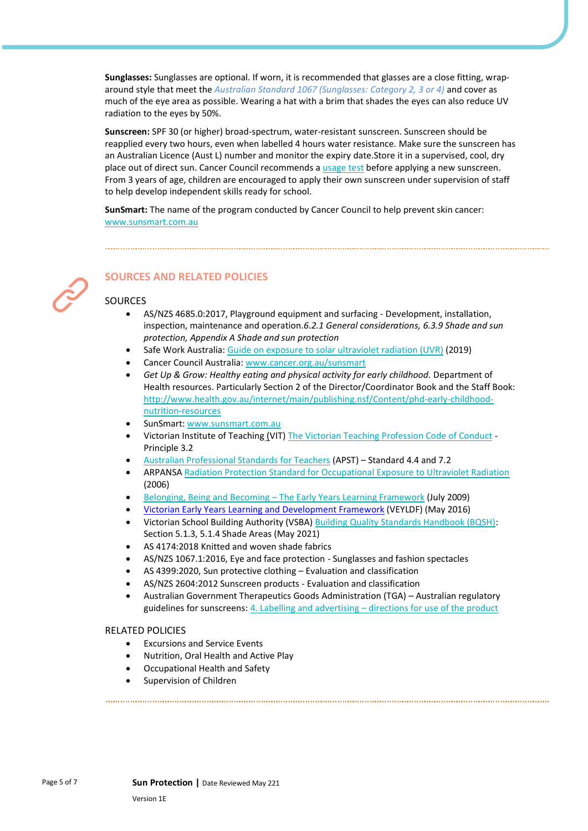**Sunglasses:** Sunglasses are optional. If worn, it is recommended that glasses are a close fitting, wraparound style that meet the *Australian Standard 1067 (Sunglasses: Category 2, 3 or 4)* and cover as much of the eye area as possible. Wearing a hat with a brim that shades the eyes can also reduce UV radiation to the eyes by 50%.

**Sunscreen:** SPF 30 (or higher) broad-spectrum, water-resistant sunscreen. Sunscreen should be reapplied every two hours, even when labelled 4 hours water resistance. Make sure the sunscreen has an Australian Licence (Aust L) number and monitor the expiry date.Store it in a supervised, cool, dry place out of direct sun. Cancer Council recommends a [usage test](https://wiki.cancer.org.au/policy/Position_statement_-_Sun_protection_and_infants_(0-12_months)) before applying a new sunscreen. From 3 years of age, children are encouraged to apply their own sunscreen under supervision of staff to help develop independent skills ready for school.

**SunSmart:** The name of the program conducted by Cancer Council to help prevent skin cancer: [www.sunsmart.com.au](http://www.sunsmart.com.au/)



### **SOURCES AND RELATED POLICIES**

#### SOURCES

- AS/NZS 4685.0:2017, Playground equipment and surfacing Development, installation, inspection, maintenance and operation.*6.2.1 General considerations, 6.3.9 Shade and sun protection, Appendix A Shade and sun protection*
- Safe Work Australia: [Guide on exposure to solar ultraviolet radiation \(UVR\)](https://www.safeworkaustralia.gov.au/system/files/documents/2001/guide-exposure-solar-ultraviolet-radiation_1.pdf) (2019)
- Cancer Council Australia: [www.cancer.org.au/sunsmart](http://www.cancer.org.au/sunsmart)
- *Get Up & Grow: Healthy eating and physical activity for early childhood.* Department of Health resources. Particularly Section 2 of the Director/Coordinator Book and the Staff Book: [http://www.health.gov.au/internet/main/publishing.nsf/Content/phd-early-childhood](http://www.health.gov.au/internet/main/publishing.nsf/Content/phd-early-childhood-nutrition-resources)[nutrition-resources](http://www.health.gov.au/internet/main/publishing.nsf/Content/phd-early-childhood-nutrition-resources)
- SunSmart[: www.sunsmart.com.au](http://www.sunsmart.com.au/)
- Victorian Institute of Teaching (VIT[\) The Victorian Teaching Profession Code of Conduct](http://www.vit.vic.edu.au/__data/assets/pdf_file/0018/35604/Code-of-Conduct-2016.pdf) Principle 3.2
- [Australian Professional Standards for Teachers](http://www.vit.vic.edu.au/__data/assets/pdf_file/0005/38678/Opportunities-for-demonstrating-the-APST-through-Inquiry-approach.pdf) (APST) Standard 4.4 and 7.2
- ARPANS[A Radiation Protection Standard for Occupational Exposure to Ultraviolet Radiation](http://www.arpansa.gov.au/pubs/rps/rps12.pdf) (2006)
- Belonging, Being and Becoming [The Early Years Learning Framework](https://www.education.gov.au/early-years-learning-framework) (July 2009)
- [Victorian Early Years Learning and Development Framework](http://www.education.vic.gov.au/childhood/providers/edcare/pages/veyladf.aspx?Redirect=1) (VEYLDF) (May 2016)
- Victorian School Building Authority (VSBA) [Building Quality Standards Handbook \(BQSH\):](https://www.education.vic.gov.au/Documents/school/principals/infrastructure/vsba-building-quality-handbook.pdf) Section 5.1.3, 5.1.4 Shade Areas (May 2021)
- AS 4174:2018 Knitted and woven shade fabrics
- AS/NZS 1067.1:2016, Eye and face protection Sunglasses and fashion spectacles
- AS 4399:2020, Sun protective clothing Evaluation and classification
- AS/NZS 2604:2012 Sunscreen products Evaluation and classification
- Australian Government Therapeutics Goods Administration (TGA) Australian regulatory guidelines for sunscreens: 4. Labelling and advertising – [directions for use of the product](https://www.tga.gov.au/book/4-labelling-and-advertising)

#### RELATED POLICIES

- Excursions and Service Events
- Nutrition, Oral Health and Active Play
- Occupational Health and Safety
- Supervision of Children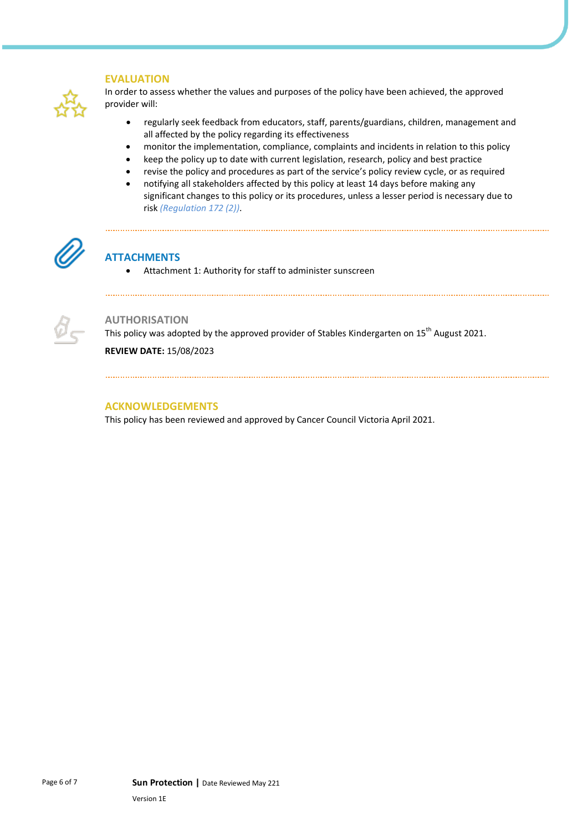#### **EVALUATION**

In order to assess whether the values and purposes of the policy have been achieved, the approved provider will:

- regularly seek feedback from educators, staff, parents/guardians, children, management and all affected by the policy regarding its effectiveness
- monitor the implementation, compliance, complaints and incidents in relation to this policy
- keep the policy up to date with current legislation, research, policy and best practice
- revise the policy and procedures as part of the service's policy review cycle, or as required
- notifying all stakeholders affected by this policy at least 14 days before making any significant changes to this policy or its procedures, unless a lesser period is necessary due to risk *(Regulation 172 (2))*.



## **ATTACHMENTS**

• Attachment 1: Authority for staff to administer sunscreen



#### **AUTHORISATION**

This policy was adopted by the approved provider of Stables Kindergarten on 15<sup>th</sup> August 2021.

**REVIEW DATE:** 15/08/2023

#### **ACKNOWLEDGEMENTS**

This policy has been reviewed and approved by Cancer Council Victoria April 2021.